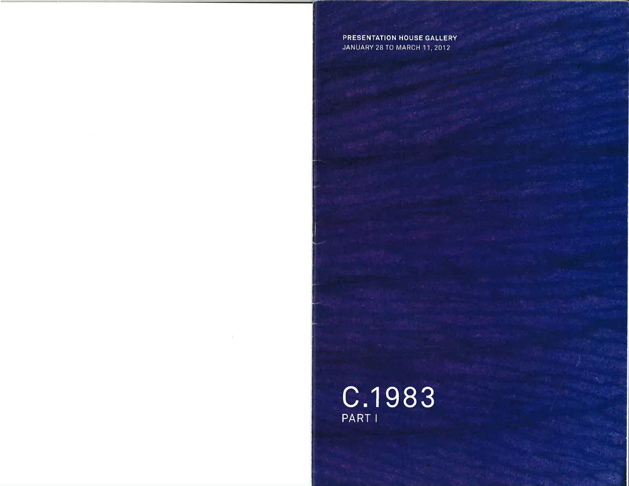## PRESENTATION HOUSE GALLERY JANUARY 28 TO MARCH 11,2012

c.1gB3 PART I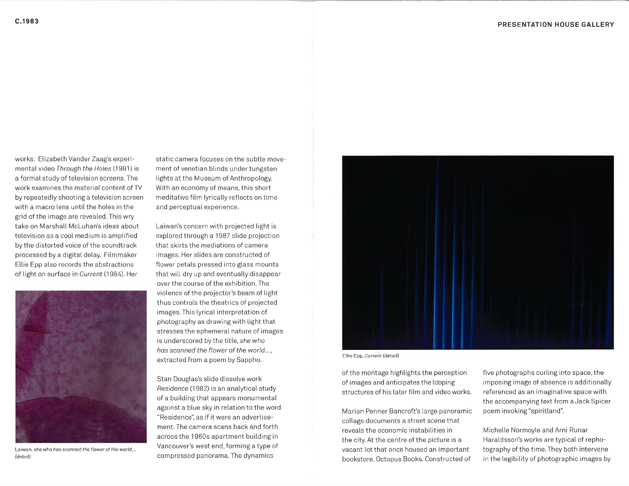works. Elizabeth Vander Zaag's experimental video Through the Holes (1981) is a formal study of television screens. The work examines the materiat content of TV by repeatedly shooting a television screen with a macro lens until the holes in the grid of the image are reveated.This wry take on Marshatl McLuhan's ideas about television as a cool medium is amplified by the distorted voice of the soundtrack processed by a digitat detay. Fitmmaker Ellie Epp also records the abstractions of light on surface in Current (1984). Her



Laiwan, she who hos sconned the flower of the world... (detail)

static camera focuses on the subtle movement of venetian blinds under tungsten lights at the Museum of Anthropology. With an economy of means, this short meditative film lyrically reflects on time and perceptual experience.

Laiwan's concern with projected light is explored through a 1987 stide projection that skirts the mediations of camera images. Her stides are constructed of flower petals pressed into glass mounts that will dry up and eventually disappear over the course of the exhibition. The viotence of the projector's beam of tight thus controls the theatrics of projected images. This lyrical interpretation of photography as drawing with tight that stresses the ephemeral nature of images is underscored by the title, she who hos sconned the flower of the world..., extracted from a poem by Sappho.

Stan Douglas's slide dissolve work Residence (1 982) is an anatytical study of a building that appears monumental against a blue sky in relation to the word "Residence", as if it were an advertisement. The camera scans back and forth across the 1960s apartment buitding in Vancouver's west end, forming a type of compressed panorama. The dynamics



ELlie Epp, Current (detail)

of the montage hightights the perception of images and anticipates the looping structures of his later fitm and video works.

Marian Penner Bancroft's large panoramic collage documents a street scene that reveals the economic instabilities in the city. At the centre of the picture is a vacant lot that once housed an important bookstore, Octopus Books. Constructed of

five photographs curling into space, the imposing image of absence is additionally referenced as an imaginative space with the accompanying text from a Jack Spicer poem invoking "spiritland".

Michelle Normoyle and Arni Runar Haraldsson's works are typicat of rephotography of the time. They both intervene in the legibility of photographic images by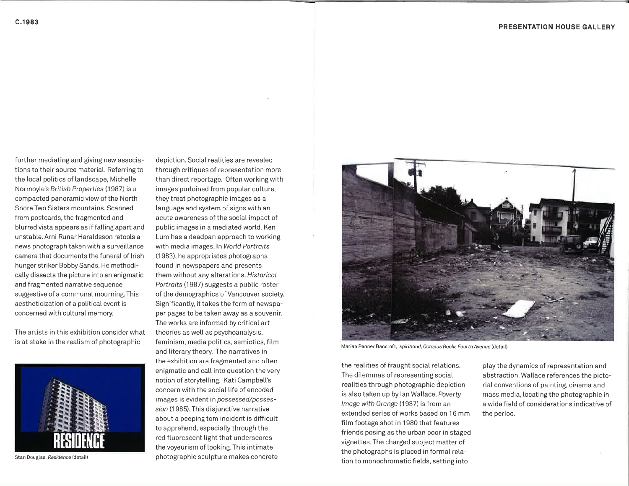further mediating and giving new associations to their source material. Referring to the local politics of landscape, Michelle Normoyle's British Properties (1987) is a compacted panoramic view of the North Shore Two Sisters mountains. Scanned from postcards, the fragmented and blurred vista appears as if falling apart and unstable. Arni Runar Haraldsson retools a news photograph taken with a surveillance camera that documents the funeral of lrish hunger striker Bobby Sands. He methodically dissects the picture into an enigmatic and fragmented narrative sequence suggestive of a communal mourning. This aestheticization of a political event is concerned with cuttural memory.

The artists in this exhibition consider what is at stake in the reatism of photographic



Stan Douglas, Residence (detail)

depiction. Social realities are revealed through critiques of representation more than direct reportage. Often working with images purloined from popular cutture, they treat photographic images as a language and system of signs with an acute awareness of the social impact of pubtic images in a mediated wortd. Ken Lum has a deadpan approach to working with media images. In World Portraits (1 983), he appropriates photographs found in newspapers and presents them without any alterations. Historical Portraits (1987) suggests a public roster of the demographics of Vancouver society. Significantty, it takes the form of newspaper pages to be taken away as a souvenir. The works are informed by critical art theories as well as psychoanalysis, feminism, media potitics, semiotics, fitm and literary theory. The narratives in the exhibition are fragmented and often enigmatic and call into question the very notion of storytelling. Kati Campbell's concern with the social Iife of encoded images is evident in possessed/possession (1985). This disjunctive narrative about a peeping tom incident is difficutt to apprehend, especially through the red ftuorescent tight that underscores the voyeurism of tooking. This intimate photographic scutpture makes concrete

![](_page_2_Picture_6.jpeg)

Marian Penner Bancroft, spiritland, Octopus Books Fourth Avenue (detail)

the realities of fraught social relations. The dilemmas of representing social realities through photographic depiction is also taken up by lan Waltace. Poverty Image with Orange (1987) is from an extended series of works based on 16 mm film footage shot in 1980 that features friends posing as the urban poor in staged vignettes. The charged subject matter of the photographs is placed in formal relation to monochromatic fields, setting into

ptay the dynamics of representation and abstraction. Watlace references the pictorial conventions of painting, cinema and mass media, locating the photographic in a wide fietd of considerations indicative of the period.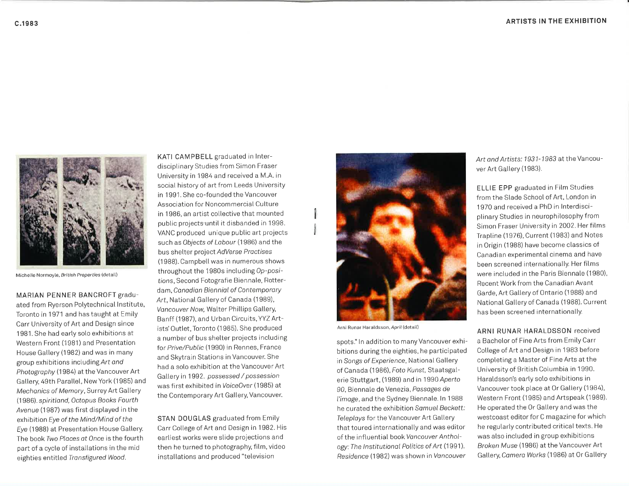![](_page_3_Picture_1.jpeg)

Michelle Normoyle, Eritish Properties (detait)

MARIAN PENNER BANCROFT graduated from Ryerson Potytechnicat lnstitute, Toronto in 1971 and has taught at Emity Carr University of Art and Design since <sup>1</sup>981. She had earty solo exhibitions at Western Front (1981) and Presentation House Gallery (1982) and was in many group exhibitions including Art ond Photography (1984) at the Vancouver Art Gallery, 49th Parallel, New York (1985) and Mechanics of Memory, Surrey Art Gallery (1986). spiritland, Octopus Books Fourth Avenue (1987) was first displayed in the exhibition Eye of the Mind/Mind of the Eye (1988) at Presentation House Gallery. The book Two Places at Once is the fourth part of a cycle of installations in the mid eighties entitled Transfigured Wood.

KATI CAMPBELL graduated in lnterdisciptinary Studies from Simon Fraser University in 1984 and received a M.A. in social history of art from Leeds University in 1991. She co-founded the Vancouver Association for Noncommercial Culture in 1986, an artist collective that mounted public projects until it disbanded in 1998. VANC produced unique pubtic art projects such as Objects of Labour (1986) and the bus shelter project AdVerse Proctises (1988). Campbell was in numerous shows throughout the 1980s including Op-positions, Second Fotografie Biennale, Rotterdam, Canadian Biennial of Contemporary Art, National Gallery of Canada (1989), Vancouver Now, Walter Phillips Gallery, Banff (1987), and Urban Circuits, YYZ Artists'Outlet, Toronto (1 985). She produced a number of bus shelter projects including for Prive/Public (1990) in Rennes, France and Skytrain Stations in Vancouver. She had a soto exhibition at the Vancouver Art Gallery in 1992. possessed / possession was first exhibited inVoiceOver (1985) at the Contemporary Art Gallery, Vancouver.

STAN DOUGLAS graduated from Emily Carr College of Art and Design in 1982. His earliest works were slide projections and then he turned to photography, fitm, video instatlations and produced "television

![](_page_3_Picture_6.jpeg)

Arni Runar Haratdsson, April (detail)

I

J

spots." In addition to many Vancouver exhibitions during the eighties, he participated in Songs of Experience, National Gallery of Canada (1 986), Foto Kunst, Staatsgaterie Stuttgart, (1989) and in 1990 Aperto 90, Biennale de Venezia, Possoges de I'imoge, and the Sydney Biennale. ln 19BB he curated the exhibition Somuel Beckett: Teleplays for the Vancouver Art Gallery that toured internationally and was editor of the influentiat book Voncouver Anthology: The Institutional Politics of Art (1991). Residence (1982) was shown in Vancouver

Art ond Artists: 1931-1983 at the Vancouver Art Gallery (1983).

ELLIE EPP graduated in Fitm Studies from the Slade School of Art, London in 1970 and received a PhD in lnterdisciplinary Studies in neurophilosophy from Simon Fraser University in 2002. Her films Trapline (1976), Current (1983) and Notes in Origin (1988) have become classics of Canadian experimental cinema and have been screened internationally. Her films were included in the Paris Biennale (1980), Recent Work from the Canadian Avant Garde, Art Gallery of Ontario (1988) and National Gallery of Canada (1988). Current has been screened internationally.

ARNI RUNAR HARALDSSON received

a Bachelor of Fine Arts from Emily Carr Cotlege of Art and Design in 1983 before completing a Master of Fine Arts at the University of British Cotumbia in 1990. Haratdsson's early solo exhibitions in Vancouver took place at Or Gallery (1984), Western Front (1985) and Artspeak (1989). He operated the Or Gallery and was the westcoast editor for C magazine for which he regularly contributed critical texts. He was atso inctuded in group exhibitions Broken Muse (1986) at the Vancouver Art Galtery, Comero Works (1986) at 0r Galtery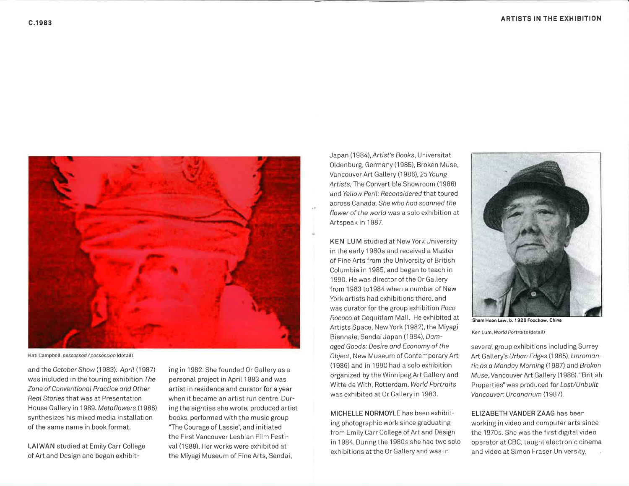![](_page_4_Picture_2.jpeg)

Kati Campbell, possessed / possession (detail)

and the October Show (1983). April (1987) was included in the touring exhibition The Zone of Conventionol Proctice ond Other Reol Stories that was at Presentation House Gallery in 1989. Metaflowers (1986) synthesizes his mixed media instatlation of the same name in book format.

LAIWAN studied at Emily Carr College of Art and Design and began exhibiting in 1982. She founded 0r Gallery as a personal project in April 1983 and was artist in residence and curator for ayear when it became an artist run centre. During the eighties she wrote, produced artist books, performed with the music group "The Courage of Lassie", and initiated the First Vancouver Lesbian Fitm Festivat (1988). Her works were exhibited at the Miyagi Museum of Fine Arts, Sendai,

Japan (1984), Artist's Books, Universitat Otdenburg, Germany (1 985), Broken Muse, Vancouver Art Gallery (1986), 25 Young Artists, The Convertible Showroom (1986) and Yellow Peril: Reconsidered that toured across Canada. She who had scanned the flower of the world was a solo exhibition at Artspeak in 1987.

KEN LUM studied at NewYork University in the early 1980s and received a Master of Fine Arts from the University of British Cotumbia in 1985, and began to teach in 1990. He was director of the Or Gallery from 1983 to1984 when a number of New York artists had exhibitions there, and was curator for the group exhibition Poco Rococo at Coquitlam Mall. He exhibited at Artists Space, New York (1982), the Miyagi Biennale, Sendai Japan (1984), Damoged Goods: Desire ond Economy of the Object, New Museum of Contemporary Art (1 986) and in 1990 had a soto exhibition organized by the Winnipeg Art Gallery and Witte de With, Rotterdam.World Portroits was exhibited at Or Gallery in 1983.

MICHELLE N0RMOYLE has been exhibiting photographic work since graduating from Emily Carr College of Art and Design in 1984. During the 1980s she had two solo exhibitions at the Or Gallery and was in

![](_page_4_Picture_10.jpeg)

Ken Lum, World Portraits (detail)

several group exhibitions including Surrey Art Gallery's Urban Edges (1985), Unromantic as a Monday Morning (1987) and Broken Muse, Vancouver Art Gallery (1986). "British Properties" was produced for Lost/Unbuilt Vancouver: Urbanarium (1987).

ELIZABETH VANDER ZAAG has been working in video and computer arts since the 1970s. She was the first digitat video operator at CBC, taught electronic cinema and video at Simon Fraser University,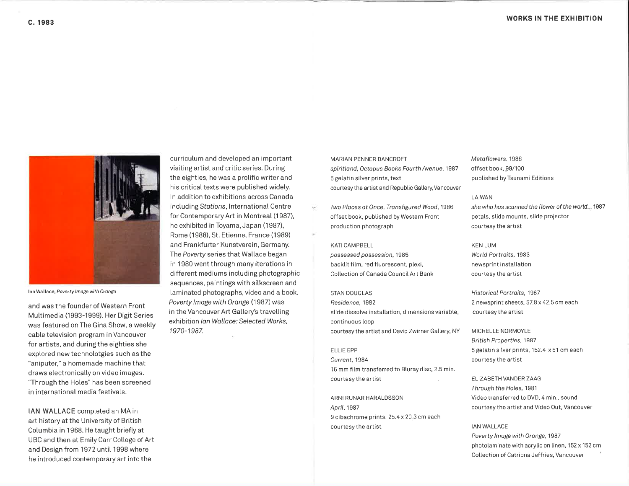![](_page_5_Picture_2.jpeg)

lan Watlace, Poverty lmoge with Oronge

and was the founder of Western Front Muttimedia (1993-1999). Her Digit Series was featured on The Gina Show, a weekty cable television program in Vancouver for artists, and during the eighties she explored new technolotgies such as the "aniputer," a homemade machine that draws electronically on video images. "Through the Holes" has been screened in international media festivals.

IAN WALLACE completed an MA in art history at the University of British Columbia in 1968. He taught briefty at UBC and then at Emily Carr College of Art and Design from 1972 until 1998 where he introduced contemporary art into the

curriculum and developed an important visiting artist and critic series. During the eighties, he was a prolific writer and his critical texts were pubtished widety. ln addition to exhibitions across Canada including Stations, International Centre for Contemporary Art in Montreal (1987), he exhibited in Toyama, Japan (1987), Rome (1 988), St. Etienne, France (1 989) and Frankfurter Kunstverein, Germany. The Poverty series that Wallace began in 1980 went through many iterations in different mediums including photographic sequences, paintings with silkscreen and laminated photographs, video and a book. Poverty Image with Orange (1987) was in the Vancouver Art Gallery's travelling exhibition Ian Wallace: Selected Works, 1970-1987.

MARIAN PENNER BANCROFT spiritland, Octopus Books Fourth Avenue, 1987 5 getatin silver prints, text courtesy the artist and Republic Gallery, Vancouver

Two Places at Once, Transfigured Wood, 1986 offset book, pubtished by Western Front production photograph

KATI CAMPBELL

possessed possession, 1985 backlit film, red fluorescent, plexi, Collection of Canada Council Art Bank

STAN DOUGLAS Residence, 1982 slide dissolve installation, dimensions variable, continuous [oop courtesy the artist and David Zwirner Gallery, NY

ELLIE EPP Current,1984 16 mm film transferred to Bluray disc, 2.5 min. courtesy the artist

ARNI RUNAR HARALDSSON ApriL. 1987 9 cibachrome prints, 25.4 x 20.3 cm each courtesy the artist

Metoflowers, 1986 offset book, 99/100 pubtished by Tsunami Editions

LAIWAN

she who has scanned the flower of the world...1987 petats, stide mounts, stide projector courtesy the artist

KEN LUM World Portraits, 1983 newsprint installation courtesy the artist

<sup>H</sup>istoricol Portroits, 1987 2 newsprint sheets, 57.8 x 42.5 cm each courtesy the artist

MICHELLE NORMOYLE British Propertles, 1987 <sup>5</sup>gelatin silver prints, 152.4 x61 cm each courtesy the artist

ELIZABETH VANDER ZAAG Through the Holes, 1981 Video transferred to DVD, 4 min., sound courtesy the artist and Video 0ut, Vancouver

IAN WALLACE Poverty Image with Orange, 1987 photolaminate with acrylic on linen, 152 x 152 cm Collection of Catriona Jeffries, Vancouver